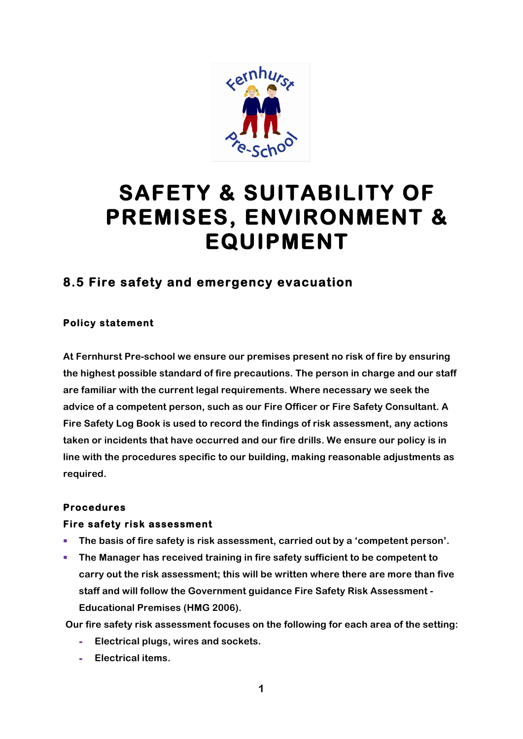

# **SAFETY & SUITABILITY OF PREMISES, ENVIRONMENT & EQUIPMENT**

# **8.5 Fire safety and emergency evacuation**

### **Policy statement**

**At Fernhurst Pre-school we ensure our premises present no risk of fire by ensuring the highest possible standard of fire precautions. The person in charge and our staff are familiar with the current legal requirements. Where necessary we seek the advice of a competent person, such as our Fire Officer or Fire Safety Consultant. A Fire Safety Log Book is used to record the findings of risk assessment, any actions taken or incidents that have occurred and our fire drills. We ensure our policy is in line with the procedures specific to our building, making reasonable adjustments as required.**

#### **Procedures**

#### **Fire safety risk assessment**

- The basis of fire safety is risk assessment, carried out by a 'competent person'.
- **The Manager has received training in fire safety sufficient to be competent to carry out the risk assessment; this will be written where there are more than five staff and will follow the Government guidance Fire Safety Risk Assessment - Educational Premises (HMG 2006).**

**Our fire safety risk assessment focuses on the following for each area of the setting:**

- **- Electrical plugs, wires and sockets.**
- **- Electrical items.**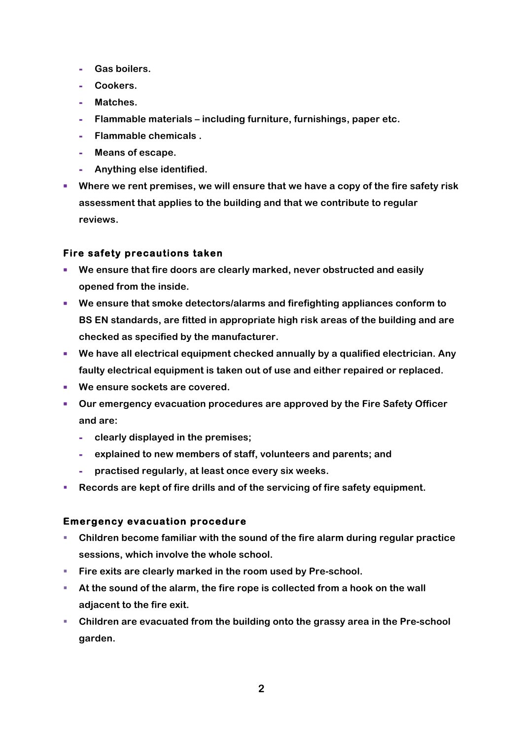- **- Gas boilers.**
- **- Cookers.**
- **- Matches.**
- **- Flammable materials – including furniture, furnishings, paper etc.**
- **- Flammable chemicals .**
- **- Means of escape.**
- **- Anything else identified.**
- Where we rent premises, we will ensure that we have a copy of the fire safety risk **assessment that applies to the building and that we contribute to regular reviews.**

# **Fire safety precautions taken**

- § **We ensure that fire doors are clearly marked, never obstructed and easily opened from the inside.**
- § **We ensure that smoke detectors/alarms and firefighting appliances conform to BS EN standards, are fitted in appropriate high risk areas of the building and are checked as specified by the manufacturer.**
- We have all electrical equipment checked annually by a qualified electrician. Any **faulty electrical equipment is taken out of use and either repaired or replaced.**
- We ensure sockets are covered.
- § **Our emergency evacuation procedures are approved by the Fire Safety Officer and are:**
	- **- clearly displayed in the premises;**
	- **- explained to new members of staff, volunteers and parents; and**
	- **- practised regularly, at least once every six weeks.**
- § **Records are kept of fire drills and of the servicing of fire safety equipment.**

#### **Emergency evacuation procedure**

- § **Children become familiar with the sound of the fire alarm during regular practice sessions, which involve the whole school.**
- Fire exits are clearly marked in the room used by Pre-school.
- **EXTER 15 At the sound of the alarm, the fire rope is collected from a hook on the wall adjacent to the fire exit.**
- § **Children are evacuated from the building onto the grassy area in the Pre-school garden.**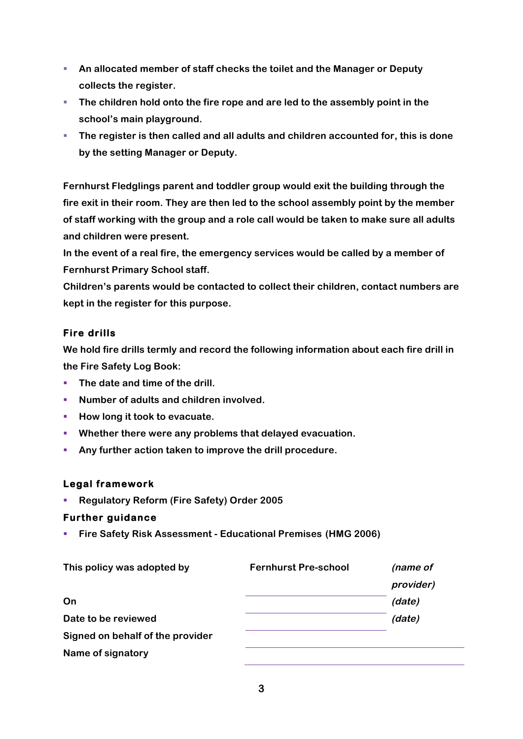- An allocated member of staff checks the toilet and the Manager or Deputy **collects the register.**
- § **The children hold onto the fire rope and are led to the assembly point in the school's main playground.**
- § **The register is then called and all adults and children accounted for, this is done by the setting Manager or Deputy.**

**Fernhurst Fledglings parent and toddler group would exit the building through the fire exit in their room. They are then led to the school assembly point by the member of staff working with the group and a role call would be taken to make sure all adults and children were present.** 

**In the event of a real fire, the emergency services would be called by a member of Fernhurst Primary School staff.**

**Children's parents would be contacted to collect their children, contact numbers are kept in the register for this purpose.**

# **Fire drills**

**We hold fire drills termly and record the following information about each fire drill in the Fire Safety Log Book:**

- The date and time of the drill.
- Number of adults and children involved.
- How long it took to evacuate.
- § **Whether there were any problems that delayed evacuation.**
- § **Any further action taken to improve the drill procedure.**

#### **Legal framework**

■ **Regulatory Reform (Fire Safety) Order 2005** 

#### **Further guidance**

§ **Fire Safety Risk Assessment - Educational Premises (HMG 2006)** 

| This policy was adopted by       | <b>Fernhurst Pre-school</b> | (name of  |
|----------------------------------|-----------------------------|-----------|
|                                  |                             | provider) |
| On                               |                             | (date)    |
| Date to be reviewed              |                             | (date)    |
| Signed on behalf of the provider |                             |           |
| Name of signatory                |                             |           |